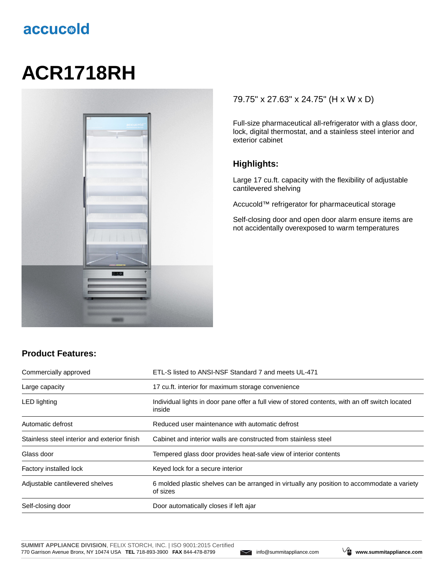# accucold

# **ACR1718RH**



#### 79.75" x 27.63" x 24.75" (H x W x D)

Full-size pharmaceutical all-refrigerator with a glass door, lock, digital thermostat, and a stainless steel interior and exterior cabinet

#### **Highlights:**

Large 17 cu.ft. capacity with the flexibility of adjustable cantilevered shelving

Accucold™ refrigerator for pharmaceutical storage

Self-closing door and open door alarm ensure items are not accidentally overexposed to warm temperatures

### **Product Features:**

| Commercially approved                        | ETL-S listed to ANSI-NSF Standard 7 and meets UL-471                                                      |  |
|----------------------------------------------|-----------------------------------------------------------------------------------------------------------|--|
| Large capacity                               | 17 cu.ft. interior for maximum storage convenience                                                        |  |
| <b>LED</b> lighting                          | Individual lights in door pane offer a full view of stored contents, with an off switch located<br>inside |  |
| Automatic defrost                            | Reduced user maintenance with automatic defrost                                                           |  |
| Stainless steel interior and exterior finish | Cabinet and interior walls are constructed from stainless steel                                           |  |
| Glass door                                   | Tempered glass door provides heat-safe view of interior contents                                          |  |
| Factory installed lock                       | Keyed lock for a secure interior                                                                          |  |
| Adjustable cantilevered shelves              | 6 molded plastic shelves can be arranged in virtually any position to accommodate a variety<br>of sizes   |  |
| Self-closing door                            | Door automatically closes if left ajar                                                                    |  |